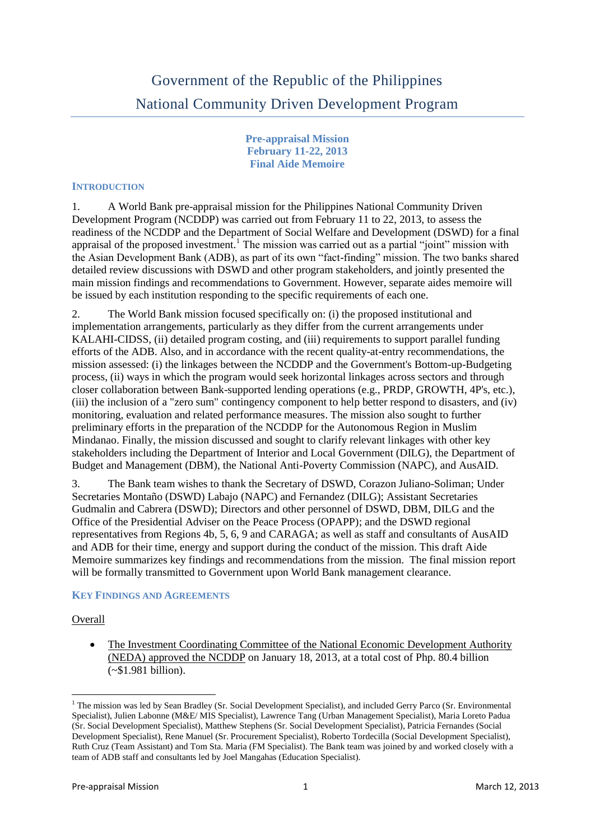# Government of the Republic of the Philippines National Community Driven Development Program

**Pre-appraisal Mission February 11-22, 2013 Final Aide Memoire**

#### **INTRODUCTION**

1. A World Bank pre-appraisal mission for the Philippines National Community Driven Development Program (NCDDP) was carried out from February 11 to 22, 2013, to assess the readiness of the NCDDP and the Department of Social Welfare and Development (DSWD) for a final appraisal of the proposed investment.<sup>1</sup> The mission was carried out as a partial "joint" mission with the Asian Development Bank (ADB), as part of its own "fact-finding" mission. The two banks shared detailed review discussions with DSWD and other program stakeholders, and jointly presented the main mission findings and recommendations to Government. However, separate aides memoire will be issued by each institution responding to the specific requirements of each one.

2. The World Bank mission focused specifically on: (i) the proposed institutional and implementation arrangements, particularly as they differ from the current arrangements under KALAHI-CIDSS, (ii) detailed program costing, and (iii) requirements to support parallel funding efforts of the ADB. Also, and in accordance with the recent quality-at-entry recommendations, the mission assessed: (i) the linkages between the NCDDP and the Government's Bottom-up-Budgeting process, (ii) ways in which the program would seek horizontal linkages across sectors and through closer collaboration between Bank-supported lending operations (e.g., PRDP, GROWTH, 4P's, etc.), (iii) the inclusion of a "zero sum" contingency component to help better respond to disasters, and (iv) monitoring, evaluation and related performance measures. The mission also sought to further preliminary efforts in the preparation of the NCDDP for the Autonomous Region in Muslim Mindanao. Finally, the mission discussed and sought to clarify relevant linkages with other key stakeholders including the Department of Interior and Local Government (DILG), the Department of Budget and Management (DBM), the National Anti-Poverty Commission (NAPC), and AusAID.

3. The Bank team wishes to thank the Secretary of DSWD, Corazon Juliano-Soliman; Under Secretaries Montaño (DSWD) Labajo (NAPC) and Fernandez (DILG); Assistant Secretaries Gudmalin and Cabrera (DSWD); Directors and other personnel of DSWD, DBM, DILG and the Office of the Presidential Adviser on the Peace Process (OPAPP); and the DSWD regional representatives from Regions 4b, 5, 6, 9 and CARAGA; as well as staff and consultants of AusAID and ADB for their time, energy and support during the conduct of the mission. This draft Aide Memoire summarizes key findings and recommendations from the mission. The final mission report will be formally transmitted to Government upon World Bank management clearance.

#### **KEY FINDINGS AND AGREEMENTS**

#### Overall

**.** 

• The Investment Coordinating Committee of the National Economic Development Authority (NEDA) approved the NCDDP on January 18, 2013, at a total cost of Php. 80.4 billion (~\$1.981 billion).

<sup>&</sup>lt;sup>1</sup> The mission was led by Sean Bradley (Sr. Social Development Specialist), and included Gerry Parco (Sr. Environmental Specialist), Julien Labonne (M&E/ MIS Specialist), Lawrence Tang (Urban Management Specialist), Maria Loreto Padua (Sr. Social Development Specialist), Matthew Stephens (Sr. Social Development Specialist), Patricia Fernandes (Social Development Specialist), Rene Manuel (Sr. Procurement Specialist), Roberto Tordecilla (Social Development Specialist), Ruth Cruz (Team Assistant) and Tom Sta. Maria (FM Specialist). The Bank team was joined by and worked closely with a team of ADB staff and consultants led by Joel Mangahas (Education Specialist).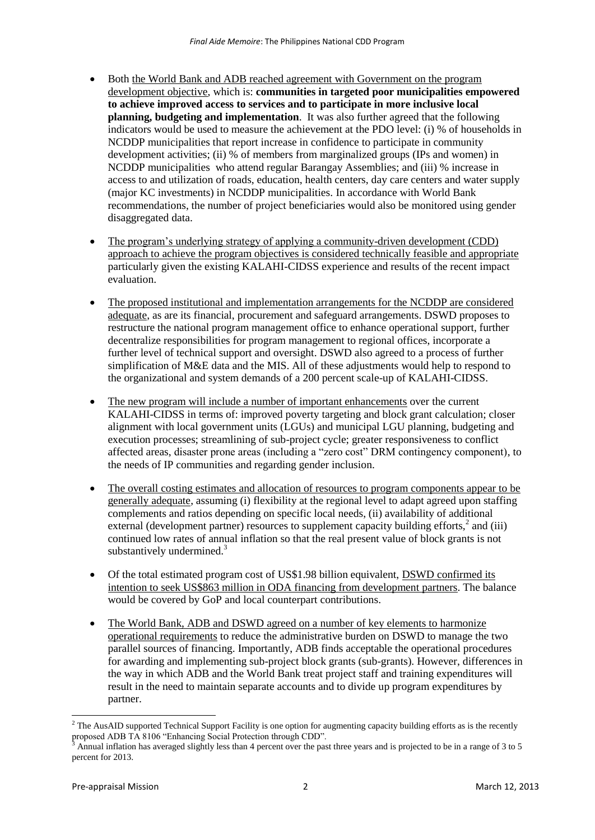- Both the World Bank and ADB reached agreement with Government on the program development objective, which is: **communities in targeted poor municipalities empowered to achieve improved access to services and to participate in more inclusive local planning, budgeting and implementation**. It was also further agreed that the following indicators would be used to measure the achievement at the PDO level: (i) % of households in NCDDP municipalities that report increase in confidence to participate in community development activities; (ii) % of members from marginalized groups (IPs and women) in NCDDP municipalities who attend regular Barangay Assemblies; and (iii) % increase in access to and utilization of roads, education, health centers, day care centers and water supply (major KC investments) in NCDDP municipalities. In accordance with World Bank recommendations, the number of project beneficiaries would also be monitored using gender disaggregated data.
- The program's underlying strategy of applying a community-driven development (CDD) approach to achieve the program objectives is considered technically feasible and appropriate particularly given the existing KALAHI-CIDSS experience and results of the recent impact evaluation.
- The proposed institutional and implementation arrangements for the NCDDP are considered adequate, as are its financial, procurement and safeguard arrangements. DSWD proposes to restructure the national program management office to enhance operational support, further decentralize responsibilities for program management to regional offices, incorporate a further level of technical support and oversight. DSWD also agreed to a process of further simplification of M&E data and the MIS. All of these adjustments would help to respond to the organizational and system demands of a 200 percent scale-up of KALAHI-CIDSS.
- The new program will include a number of important enhancements over the current KALAHI-CIDSS in terms of: improved poverty targeting and block grant calculation; closer alignment with local government units (LGUs) and municipal LGU planning, budgeting and execution processes; streamlining of sub-project cycle; greater responsiveness to conflict affected areas, disaster prone areas (including a "zero cost" DRM contingency component), to the needs of IP communities and regarding gender inclusion.
- The overall costing estimates and allocation of resources to program components appear to be generally adequate, assuming (i) flexibility at the regional level to adapt agreed upon staffing complements and ratios depending on specific local needs, (ii) availability of additional external (development partner) resources to supplement capacity building efforts, $2$  and (iii) continued low rates of annual inflation so that the real present value of block grants is not substantively undermined.<sup>3</sup>
- Of the total estimated program cost of US\$1.98 billion equivalent, DSWD confirmed its intention to seek US\$863 million in ODA financing from development partners. The balance would be covered by GoP and local counterpart contributions.
- The World Bank, ADB and DSWD agreed on a number of key elements to harmonize operational requirements to reduce the administrative burden on DSWD to manage the two parallel sources of financing. Importantly, ADB finds acceptable the operational procedures for awarding and implementing sub-project block grants (sub-grants). However, differences in the way in which ADB and the World Bank treat project staff and training expenditures will result in the need to maintain separate accounts and to divide up program expenditures by partner.

**.** 

 $<sup>2</sup>$  The AusAID supported Technical Support Facility is one option for augmenting capacity building efforts as is the recently</sup> proposed ADB TA 8106 "Enhancing Social Protection through CDD".

<sup>3</sup> Annual inflation has averaged slightly less than 4 percent over the past three years and is projected to be in a range of 3 to 5 percent for 2013.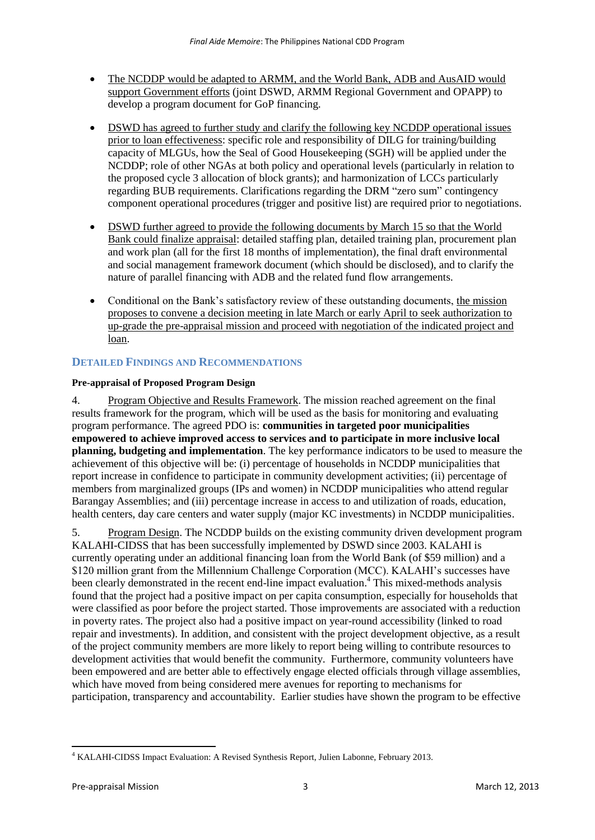- The NCDDP would be adapted to ARMM, and the World Bank, ADB and AusAID would support Government efforts (joint DSWD, ARMM Regional Government and OPAPP) to develop a program document for GoP financing.
- DSWD has agreed to further study and clarify the following key NCDDP operational issues prior to loan effectiveness: specific role and responsibility of DILG for training/building capacity of MLGUs, how the Seal of Good Housekeeping (SGH) will be applied under the NCDDP; role of other NGAs at both policy and operational levels (particularly in relation to the proposed cycle 3 allocation of block grants); and harmonization of LCCs particularly regarding BUB requirements. Clarifications regarding the DRM "zero sum" contingency component operational procedures (trigger and positive list) are required prior to negotiations.
- DSWD further agreed to provide the following documents by March 15 so that the World Bank could finalize appraisal: detailed staffing plan, detailed training plan, procurement plan and work plan (all for the first 18 months of implementation), the final draft environmental and social management framework document (which should be disclosed), and to clarify the nature of parallel financing with ADB and the related fund flow arrangements.
- Conditional on the Bank's satisfactory review of these outstanding documents, the mission proposes to convene a decision meeting in late March or early April to seek authorization to up-grade the pre-appraisal mission and proceed with negotiation of the indicated project and loan.

# **DETAILED FINDINGS AND RECOMMENDATIONS**

## **Pre-appraisal of Proposed Program Design**

4. Program Objective and Results Framework. The mission reached agreement on the final results framework for the program, which will be used as the basis for monitoring and evaluating program performance. The agreed PDO is: **communities in targeted poor municipalities empowered to achieve improved access to services and to participate in more inclusive local planning, budgeting and implementation**. The key performance indicators to be used to measure the achievement of this objective will be: (i) percentage of households in NCDDP municipalities that report increase in confidence to participate in community development activities; (ii) percentage of members from marginalized groups (IPs and women) in NCDDP municipalities who attend regular Barangay Assemblies; and (iii) percentage increase in access to and utilization of roads, education, health centers, day care centers and water supply (major KC investments) in NCDDP municipalities.

5. Program Design. The NCDDP builds on the existing community driven development program KALAHI-CIDSS that has been successfully implemented by DSWD since 2003. KALAHI is currently operating under an additional financing loan from the World Bank (of \$59 million) and a \$120 million grant from the Millennium Challenge Corporation (MCC). KALAHI's successes have been clearly demonstrated in the recent end-line impact evaluation. <sup>4</sup> This mixed-methods analysis found that the project had a positive impact on per capita consumption, especially for households that were classified as poor before the project started. Those improvements are associated with a reduction in poverty rates. The project also had a positive impact on year-round accessibility (linked to road repair and investments). In addition, and consistent with the project development objective, as a result of the project community members are more likely to report being willing to contribute resources to development activities that would benefit the community. Furthermore, community volunteers have been empowered and are better able to effectively engage elected officials through village assemblies, which have moved from being considered mere avenues for reporting to mechanisms for participation, transparency and accountability. Earlier studies have shown the program to be effective

**<sup>.</sup>** <sup>4</sup> KALAHI-CIDSS Impact Evaluation: A Revised Synthesis Report, Julien Labonne, February 2013.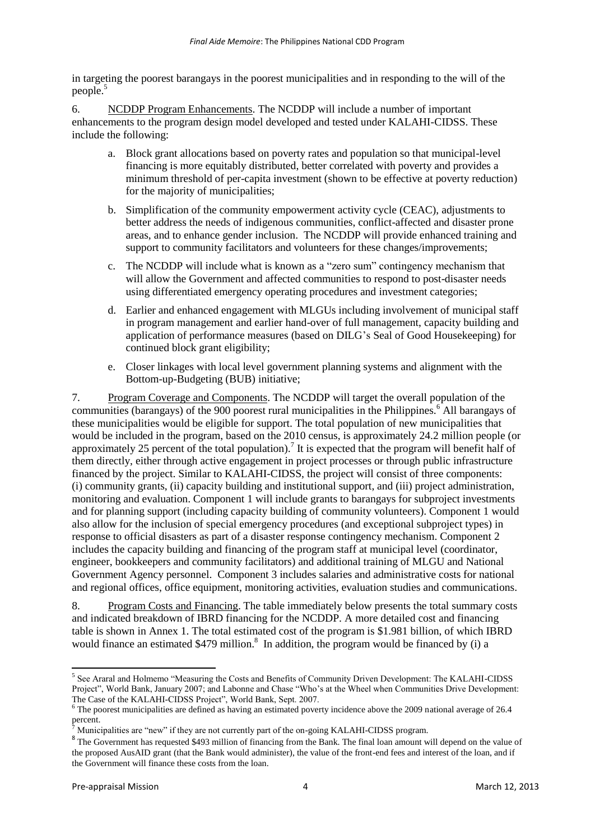in targeting the poorest barangays in the poorest municipalities and in responding to the will of the people.<sup>5</sup>

6. NCDDP Program Enhancements. The NCDDP will include a number of important enhancements to the program design model developed and tested under KALAHI-CIDSS. These include the following:

- a. Block grant allocations based on poverty rates and population so that municipal-level financing is more equitably distributed, better correlated with poverty and provides a minimum threshold of per-capita investment (shown to be effective at poverty reduction) for the majority of municipalities;
- b. Simplification of the community empowerment activity cycle (CEAC), adjustments to better address the needs of indigenous communities, conflict-affected and disaster prone areas, and to enhance gender inclusion. The NCDDP will provide enhanced training and support to community facilitators and volunteers for these changes/improvements;
- c. The NCDDP will include what is known as a "zero sum" contingency mechanism that will allow the Government and affected communities to respond to post-disaster needs using differentiated emergency operating procedures and investment categories;
- d. Earlier and enhanced engagement with MLGUs including involvement of municipal staff in program management and earlier hand-over of full management, capacity building and application of performance measures (based on DILG's Seal of Good Housekeeping) for continued block grant eligibility;
- e. Closer linkages with local level government planning systems and alignment with the Bottom-up-Budgeting (BUB) initiative;

7. Program Coverage and Components. The NCDDP will target the overall population of the communities (barangays) of the 900 poorest rural municipalities in the Philippines.<sup>6</sup> All barangays of these municipalities would be eligible for support. The total population of new municipalities that would be included in the program, based on the 2010 census, is approximately 24.2 million people (or approximately 25 percent of the total population).<sup>7</sup> It is expected that the program will benefit half of them directly, either through active engagement in project processes or through public infrastructure financed by the project. Similar to KALAHI-CIDSS, the project will consist of three components: (i) community grants, (ii) capacity building and institutional support, and (iii) project administration, monitoring and evaluation. Component 1 will include grants to barangays for subproject investments and for planning support (including capacity building of community volunteers). Component 1 would also allow for the inclusion of special emergency procedures (and exceptional subproject types) in response to official disasters as part of a disaster response contingency mechanism. Component 2 includes the capacity building and financing of the program staff at municipal level (coordinator, engineer, bookkeepers and community facilitators) and additional training of MLGU and National Government Agency personnel. Component 3 includes salaries and administrative costs for national and regional offices, office equipment, monitoring activities, evaluation studies and communications.

8. Program Costs and Financing. The table immediately below presents the total summary costs and indicated breakdown of IBRD financing for the NCDDP. A more detailed cost and financing table is shown in Annex 1. The total estimated cost of the program is \$1.981 billion, of which IBRD would finance an estimated  $$479$  million.<sup>8</sup> In addition, the program would be financed by (i) a

<sup>&</sup>lt;sup>5</sup> See Araral and Holmemo "Measuring the Costs and Benefits of Community Driven Development: The KALAHI-CIDSS Project", World Bank, January 2007; and Labonne and Chase "Who's at the Wheel when Communities Drive Development: The Case of the KALAHI-CIDSS Project", World Bank, Sept. 2007.

<sup>&</sup>lt;sup>6</sup> The poorest municipalities are defined as having an estimated poverty incidence above the 2009 national average of 26.4 percent.

Municipalities are "new" if they are not currently part of the on-going KALAHI-CIDSS program.

<sup>&</sup>lt;sup>8</sup> The Government has requested \$493 million of financing from the Bank. The final loan amount will depend on the value of the proposed AusAID grant (that the Bank would administer), the value of the front-end fees and interest of the loan, and if the Government will finance these costs from the loan.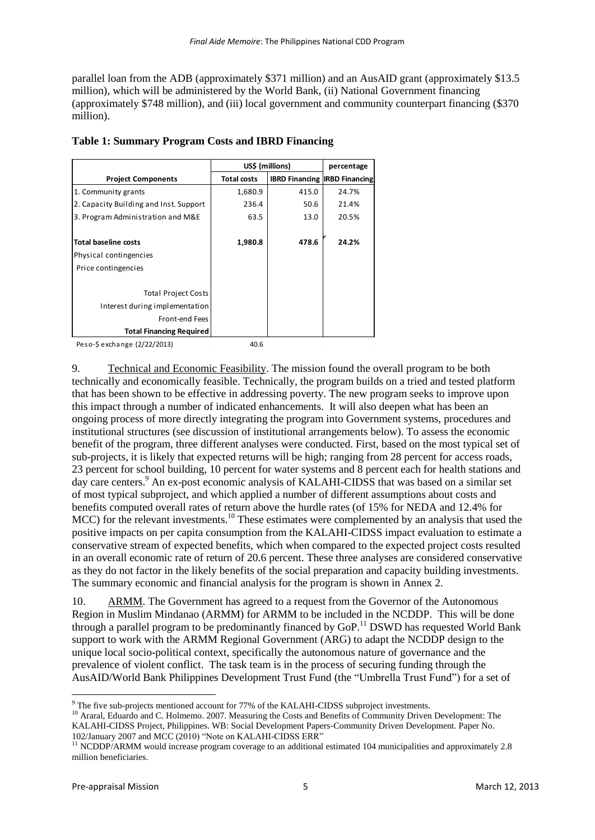parallel loan from the ADB (approximately \$371 million) and an AusAID grant (approximately \$13.5 million), which will be administered by the World Bank, (ii) National Government financing (approximately \$748 million), and (iii) local government and community counterpart financing (\$370 million).

|                                        | US\$ (millions)    | percentage                           |       |
|----------------------------------------|--------------------|--------------------------------------|-------|
| <b>Project Components</b>              | <b>Total costs</b> | <b>IBRD Financing IRBD Financing</b> |       |
| 1. Community grants                    | 1,680.9            | 415.0                                | 24.7% |
| 2. Capacity Building and Inst. Support | 236.4              | 50.6                                 | 21.4% |
| 3. Program Administration and M&E      | 63.5               | 13.0                                 | 20.5% |
|                                        |                    |                                      |       |
| <b>Total baseline costs</b>            | 1,980.8            | 478.6                                | 24.2% |
| Physical contingencies                 |                    |                                      |       |
| Price contingencies                    |                    |                                      |       |
|                                        |                    |                                      |       |
| <b>Total Project Costs</b>             |                    |                                      |       |
| Interest during implementation         |                    |                                      |       |
| Front-end Fees                         |                    |                                      |       |
| <b>Total Financing Required</b>        |                    |                                      |       |

#### **Table 1: Summary Program Costs and IBRD Financing**

Peso-\$ exchange (2/22/2013) 40.6

9. Technical and Economic Feasibility. The mission found the overall program to be both technically and economically feasible. Technically, the program builds on a tried and tested platform that has been shown to be effective in addressing poverty. The new program seeks to improve upon this impact through a number of indicated enhancements. It will also deepen what has been an ongoing process of more directly integrating the program into Government systems, procedures and institutional structures (see discussion of institutional arrangements below). To assess the economic benefit of the program, three different analyses were conducted. First, based on the most typical set of sub-projects, it is likely that expected returns will be high; ranging from 28 percent for access roads, 23 percent for school building, 10 percent for water systems and 8 percent each for health stations and day care centers.<sup>9</sup> An ex-post economic analysis of KALAHI-CIDSS that was based on a similar set of most typical subproject, and which applied a number of different assumptions about costs and benefits computed overall rates of return above the hurdle rates (of 15% for NEDA and 12.4% for MCC) for the relevant investments.<sup>10</sup> These estimates were complemented by an analysis that used the positive impacts on per capita consumption from the KALAHI-CIDSS impact evaluation to estimate a conservative stream of expected benefits, which when compared to the expected project costs resulted in an overall economic rate of return of 20.6 percent. These three analyses are considered conservative as they do not factor in the likely benefits of the social preparation and capacity building investments. The summary economic and financial analysis for the program is shown in Annex 2.

10. ARMM. The Government has agreed to a request from the Governor of the Autonomous Region in Muslim Mindanao (ARMM) for ARMM to be included in the NCDDP. This will be done through a parallel program to be predominantly financed by  $GoP<sup>11</sup>$  DSWD has requested World Bank support to work with the ARMM Regional Government (ARG) to adapt the NCDDP design to the unique local socio-political context, specifically the autonomous nature of governance and the prevalence of violent conflict. The task team is in the process of securing funding through the AusAID/World Bank Philippines Development Trust Fund (the "Umbrella Trust Fund") for a set of

**.** 

 $9$  The five sub-projects mentioned account for 77% of the KALAHI-CIDSS subproject investments.

<sup>&</sup>lt;sup>10</sup> Araral, Eduardo and C. Holmemo. 2007. Measuring the Costs and Benefits of Community Driven Development: The KALAHI-CIDSS Project, Philippines. WB: Social Development Papers-Community Driven Development. Paper No. 102/January 2007 and MCC (2010) "Note on KALAHI-CIDSS ERR"

 $11$  NCDDP/ARMM would increase program coverage to an additional estimated 104 municipalities and approximately 2.8 million beneficiaries.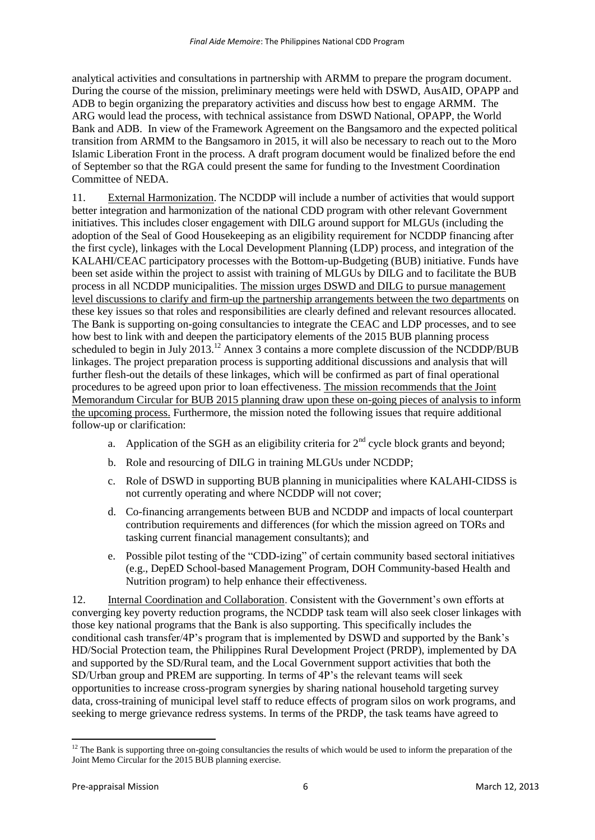analytical activities and consultations in partnership with ARMM to prepare the program document. During the course of the mission, preliminary meetings were held with DSWD, AusAID, OPAPP and ADB to begin organizing the preparatory activities and discuss how best to engage ARMM. The ARG would lead the process, with technical assistance from DSWD National, OPAPP, the World Bank and ADB. In view of the Framework Agreement on the Bangsamoro and the expected political transition from ARMM to the Bangsamoro in 2015, it will also be necessary to reach out to the Moro Islamic Liberation Front in the process. A draft program document would be finalized before the end of September so that the RGA could present the same for funding to the Investment Coordination Committee of NEDA.

11. External Harmonization. The NCDDP will include a number of activities that would support better integration and harmonization of the national CDD program with other relevant Government initiatives. This includes closer engagement with DILG around support for MLGUs (including the adoption of the Seal of Good Housekeeping as an eligibility requirement for NCDDP financing after the first cycle), linkages with the Local Development Planning (LDP) process, and integration of the KALAHI/CEAC participatory processes with the Bottom-up-Budgeting (BUB) initiative. Funds have been set aside within the project to assist with training of MLGUs by DILG and to facilitate the BUB process in all NCDDP municipalities. The mission urges DSWD and DILG to pursue management level discussions to clarify and firm-up the partnership arrangements between the two departments on these key issues so that roles and responsibilities are clearly defined and relevant resources allocated. The Bank is supporting on-going consultancies to integrate the CEAC and LDP processes, and to see how best to link with and deepen the participatory elements of the 2015 BUB planning process scheduled to begin in July 2013.<sup>12</sup> Annex 3 contains a more complete discussion of the NCDDP/BUB linkages. The project preparation process is supporting additional discussions and analysis that will further flesh-out the details of these linkages, which will be confirmed as part of final operational procedures to be agreed upon prior to loan effectiveness. The mission recommends that the Joint Memorandum Circular for BUB 2015 planning draw upon these on-going pieces of analysis to inform the upcoming process. Furthermore, the mission noted the following issues that require additional follow-up or clarification:

- a. Application of the SGH as an eligibility criteria for  $2<sup>nd</sup>$  cycle block grants and beyond;
- b. Role and resourcing of DILG in training MLGUs under NCDDP;
- c. Role of DSWD in supporting BUB planning in municipalities where KALAHI-CIDSS is not currently operating and where NCDDP will not cover;
- d. Co-financing arrangements between BUB and NCDDP and impacts of local counterpart contribution requirements and differences (for which the mission agreed on TORs and tasking current financial management consultants); and
- e. Possible pilot testing of the "CDD-izing" of certain community based sectoral initiatives (e.g., DepED School-based Management Program, DOH Community-based Health and Nutrition program) to help enhance their effectiveness.

12. Internal Coordination and Collaboration. Consistent with the Government's own efforts at converging key poverty reduction programs, the NCDDP task team will also seek closer linkages with those key national programs that the Bank is also supporting. This specifically includes the conditional cash transfer/4P's program that is implemented by DSWD and supported by the Bank's HD/Social Protection team, the Philippines Rural Development Project (PRDP), implemented by DA and supported by the SD/Rural team, and the Local Government support activities that both the SD/Urban group and PREM are supporting. In terms of 4P's the relevant teams will seek opportunities to increase cross-program synergies by sharing national household targeting survey data, cross-training of municipal level staff to reduce effects of program silos on work programs, and seeking to merge grievance redress systems. In terms of the PRDP, the task teams have agreed to

<sup>1</sup>  $12$  The Bank is supporting three on-going consultancies the results of which would be used to inform the preparation of the Joint Memo Circular for the 2015 BUB planning exercise.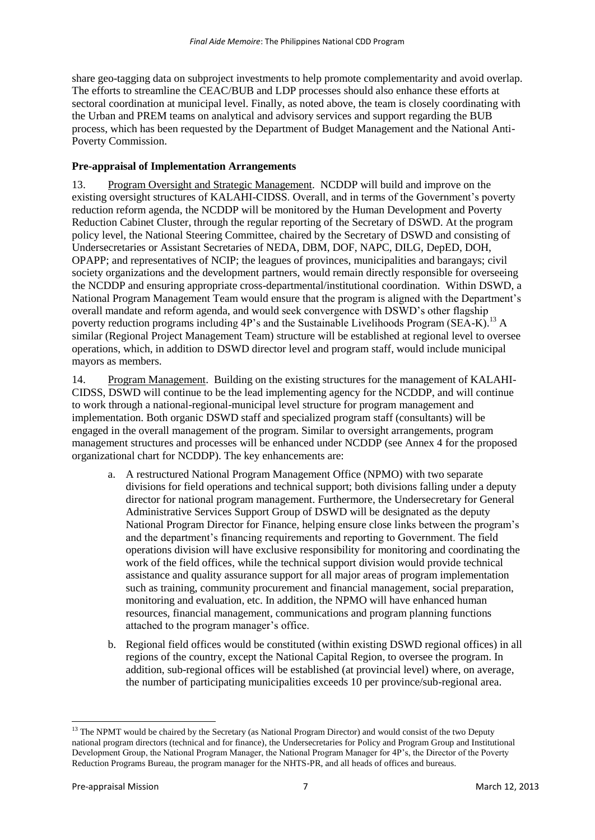share geo-tagging data on subproject investments to help promote complementarity and avoid overlap. The efforts to streamline the CEAC/BUB and LDP processes should also enhance these efforts at sectoral coordination at municipal level. Finally, as noted above, the team is closely coordinating with the Urban and PREM teams on analytical and advisory services and support regarding the BUB process, which has been requested by the Department of Budget Management and the National Anti-Poverty Commission.

# **Pre-appraisal of Implementation Arrangements**

13. Program Oversight and Strategic Management. NCDDP will build and improve on the existing oversight structures of KALAHI-CIDSS. Overall, and in terms of the Government's poverty reduction reform agenda, the NCDDP will be monitored by the Human Development and Poverty Reduction Cabinet Cluster, through the regular reporting of the Secretary of DSWD. At the program policy level, the National Steering Committee, chaired by the Secretary of DSWD and consisting of Undersecretaries or Assistant Secretaries of NEDA, DBM, DOF, NAPC, DILG, DepED, DOH, OPAPP; and representatives of NCIP; the leagues of provinces, municipalities and barangays; civil society organizations and the development partners, would remain directly responsible for overseeing the NCDDP and ensuring appropriate cross-departmental/institutional coordination. Within DSWD, a National Program Management Team would ensure that the program is aligned with the Department's overall mandate and reform agenda, and would seek convergence with DSWD's other flagship poverty reduction programs including  $4P$ 's and the Sustainable Livelihoods Program (SEA-K).<sup>13</sup> A similar (Regional Project Management Team) structure will be established at regional level to oversee operations, which, in addition to DSWD director level and program staff, would include municipal mayors as members.

14. Program Management. Building on the existing structures for the management of KALAHI-CIDSS, DSWD will continue to be the lead implementing agency for the NCDDP, and will continue to work through a national-regional-municipal level structure for program management and implementation. Both organic DSWD staff and specialized program staff (consultants) will be engaged in the overall management of the program. Similar to oversight arrangements, program management structures and processes will be enhanced under NCDDP (see Annex 4 for the proposed organizational chart for NCDDP). The key enhancements are:

- a. A restructured National Program Management Office (NPMO) with two separate divisions for field operations and technical support; both divisions falling under a deputy director for national program management. Furthermore, the Undersecretary for General Administrative Services Support Group of DSWD will be designated as the deputy National Program Director for Finance, helping ensure close links between the program's and the department's financing requirements and reporting to Government. The field operations division will have exclusive responsibility for monitoring and coordinating the work of the field offices, while the technical support division would provide technical assistance and quality assurance support for all major areas of program implementation such as training, community procurement and financial management, social preparation, monitoring and evaluation, etc. In addition, the NPMO will have enhanced human resources, financial management, communications and program planning functions attached to the program manager's office.
- b. Regional field offices would be constituted (within existing DSWD regional offices) in all regions of the country, except the National Capital Region, to oversee the program. In addition, sub-regional offices will be established (at provincial level) where, on average, the number of participating municipalities exceeds 10 per province/sub-regional area.

**.** 

 $13$  The NPMT would be chaired by the Secretary (as National Program Director) and would consist of the two Deputy national program directors (technical and for finance), the Undersecretaries for Policy and Program Group and Institutional Development Group, the National Program Manager, the National Program Manager for 4P's, the Director of the Poverty Reduction Programs Bureau, the program manager for the NHTS-PR, and all heads of offices and bureaus.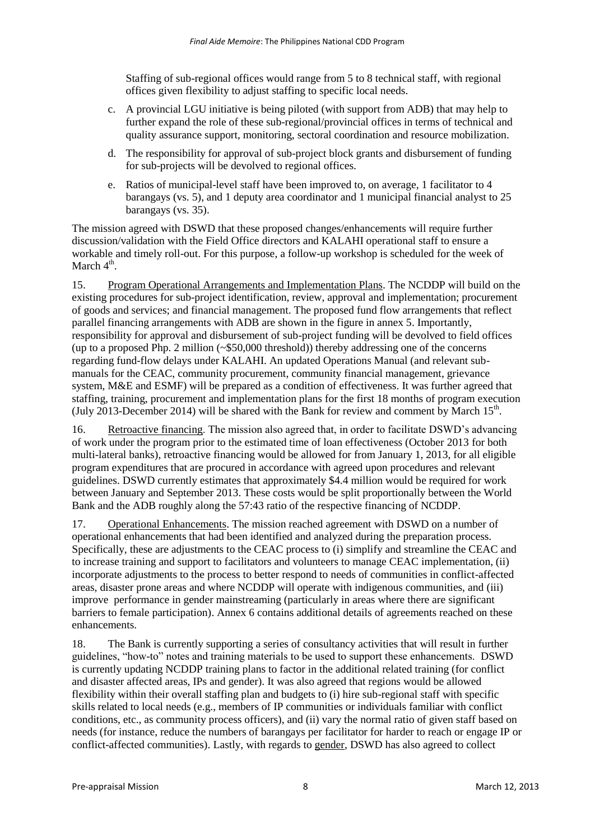Staffing of sub-regional offices would range from 5 to 8 technical staff, with regional offices given flexibility to adjust staffing to specific local needs.

- c. A provincial LGU initiative is being piloted (with support from ADB) that may help to further expand the role of these sub-regional/provincial offices in terms of technical and quality assurance support, monitoring, sectoral coordination and resource mobilization.
- d. The responsibility for approval of sub-project block grants and disbursement of funding for sub-projects will be devolved to regional offices.
- e. Ratios of municipal-level staff have been improved to, on average, 1 facilitator to 4 barangays (vs. 5), and 1 deputy area coordinator and 1 municipal financial analyst to 25 barangays (vs. 35).

The mission agreed with DSWD that these proposed changes/enhancements will require further discussion/validation with the Field Office directors and KALAHI operational staff to ensure a workable and timely roll-out. For this purpose, a follow-up workshop is scheduled for the week of March  $4<sup>th</sup>$ .

15. Program Operational Arrangements and Implementation Plans. The NCDDP will build on the existing procedures for sub-project identification, review, approval and implementation; procurement of goods and services; and financial management. The proposed fund flow arrangements that reflect parallel financing arrangements with ADB are shown in the figure in annex 5. Importantly, responsibility for approval and disbursement of sub-project funding will be devolved to field offices (up to a proposed Php. 2 million (~\$50,000 threshold)) thereby addressing one of the concerns regarding fund-flow delays under KALAHI. An updated Operations Manual (and relevant submanuals for the CEAC, community procurement, community financial management, grievance system, M&E and ESMF) will be prepared as a condition of effectiveness. It was further agreed that staffing, training, procurement and implementation plans for the first 18 months of program execution (July 2013-December 2014) will be shared with the Bank for review and comment by March  $15<sup>th</sup>$ .

16. Retroactive financing. The mission also agreed that, in order to facilitate DSWD's advancing of work under the program prior to the estimated time of loan effectiveness (October 2013 for both multi-lateral banks), retroactive financing would be allowed for from January 1, 2013, for all eligible program expenditures that are procured in accordance with agreed upon procedures and relevant guidelines. DSWD currently estimates that approximately \$4.4 million would be required for work between January and September 2013. These costs would be split proportionally between the World Bank and the ADB roughly along the 57:43 ratio of the respective financing of NCDDP.

17. Operational Enhancements. The mission reached agreement with DSWD on a number of operational enhancements that had been identified and analyzed during the preparation process. Specifically, these are adjustments to the CEAC process to (i) simplify and streamline the CEAC and to increase training and support to facilitators and volunteers to manage CEAC implementation, (ii) incorporate adjustments to the process to better respond to needs of communities in conflict-affected areas, disaster prone areas and where NCDDP will operate with indigenous communities, and (iii) improve performance in gender mainstreaming (particularly in areas where there are significant barriers to female participation). Annex 6 contains additional details of agreements reached on these enhancements.

18. The Bank is currently supporting a series of consultancy activities that will result in further guidelines, "how-to" notes and training materials to be used to support these enhancements. DSWD is currently updating NCDDP training plans to factor in the additional related training (for conflict and disaster affected areas, IPs and gender). It was also agreed that regions would be allowed flexibility within their overall staffing plan and budgets to (i) hire sub-regional staff with specific skills related to local needs (e.g., members of IP communities or individuals familiar with conflict conditions, etc., as community process officers), and (ii) vary the normal ratio of given staff based on needs (for instance, reduce the numbers of barangays per facilitator for harder to reach or engage IP or conflict-affected communities). Lastly, with regards to gender, DSWD has also agreed to collect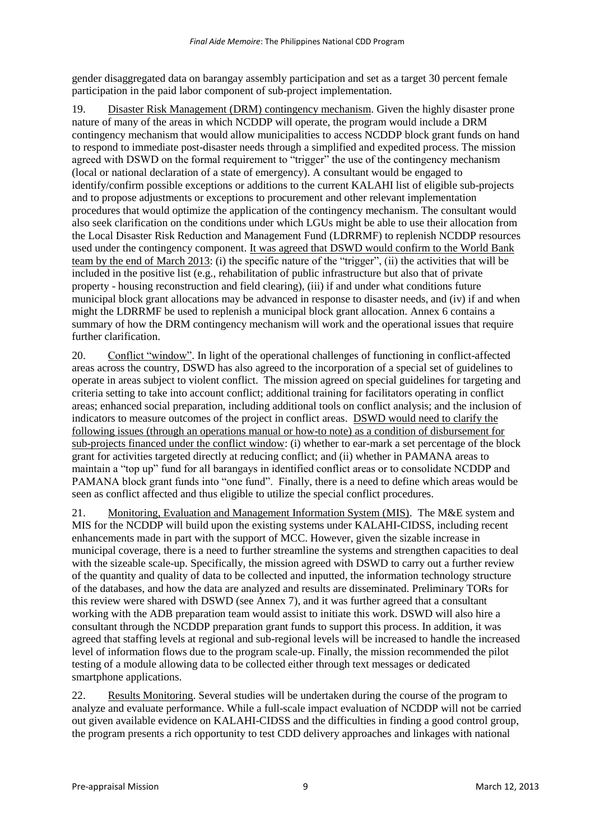gender disaggregated data on barangay assembly participation and set as a target 30 percent female participation in the paid labor component of sub-project implementation.

19. Disaster Risk Management (DRM) contingency mechanism. Given the highly disaster prone nature of many of the areas in which NCDDP will operate, the program would include a DRM contingency mechanism that would allow municipalities to access NCDDP block grant funds on hand to respond to immediate post-disaster needs through a simplified and expedited process. The mission agreed with DSWD on the formal requirement to "trigger" the use of the contingency mechanism (local or national declaration of a state of emergency). A consultant would be engaged to identify/confirm possible exceptions or additions to the current KALAHI list of eligible sub-projects and to propose adjustments or exceptions to procurement and other relevant implementation procedures that would optimize the application of the contingency mechanism. The consultant would also seek clarification on the conditions under which LGUs might be able to use their allocation from the Local Disaster Risk Reduction and Management Fund (LDRRMF) to replenish NCDDP resources used under the contingency component. It was agreed that DSWD would confirm to the World Bank team by the end of March 2013: (i) the specific nature of the "trigger", (ii) the activities that will be included in the positive list (e.g., rehabilitation of public infrastructure but also that of private property - housing reconstruction and field clearing), (iii) if and under what conditions future municipal block grant allocations may be advanced in response to disaster needs, and (iv) if and when might the LDRRMF be used to replenish a municipal block grant allocation. Annex 6 contains a summary of how the DRM contingency mechanism will work and the operational issues that require further clarification.

20. Conflict "window". In light of the operational challenges of functioning in conflict-affected areas across the country, DSWD has also agreed to the incorporation of a special set of guidelines to operate in areas subject to violent conflict. The mission agreed on special guidelines for targeting and criteria setting to take into account conflict; additional training for facilitators operating in conflict areas; enhanced social preparation, including additional tools on conflict analysis; and the inclusion of indicators to measure outcomes of the project in conflict areas. DSWD would need to clarify the following issues (through an operations manual or how-to note) as a condition of disbursement for sub-projects financed under the conflict window: (i) whether to ear-mark a set percentage of the block grant for activities targeted directly at reducing conflict; and (ii) whether in PAMANA areas to maintain a "top up" fund for all barangays in identified conflict areas or to consolidate NCDDP and PAMANA block grant funds into "one fund". Finally, there is a need to define which areas would be seen as conflict affected and thus eligible to utilize the special conflict procedures.

21. Monitoring, Evaluation and Management Information System (MIS). The M&E system and MIS for the NCDDP will build upon the existing systems under KALAHI-CIDSS, including recent enhancements made in part with the support of MCC. However, given the sizable increase in municipal coverage, there is a need to further streamline the systems and strengthen capacities to deal with the sizeable scale-up. Specifically, the mission agreed with DSWD to carry out a further review of the quantity and quality of data to be collected and inputted, the information technology structure of the databases, and how the data are analyzed and results are disseminated. Preliminary TORs for this review were shared with DSWD (see Annex 7), and it was further agreed that a consultant working with the ADB preparation team would assist to initiate this work. DSWD will also hire a consultant through the NCDDP preparation grant funds to support this process. In addition, it was agreed that staffing levels at regional and sub-regional levels will be increased to handle the increased level of information flows due to the program scale-up. Finally, the mission recommended the pilot testing of a module allowing data to be collected either through text messages or dedicated smartphone applications.

22. Results Monitoring. Several studies will be undertaken during the course of the program to analyze and evaluate performance. While a full-scale impact evaluation of NCDDP will not be carried out given available evidence on KALAHI-CIDSS and the difficulties in finding a good control group, the program presents a rich opportunity to test CDD delivery approaches and linkages with national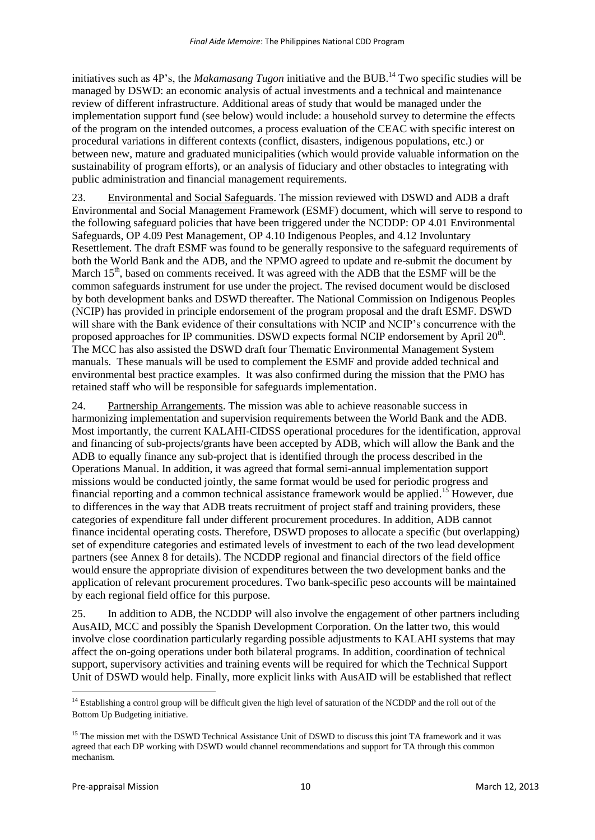initiatives such as 4P's, the *Makamasang Tugon* initiative and the BUB.<sup>14</sup> Two specific studies will be managed by DSWD: an economic analysis of actual investments and a technical and maintenance review of different infrastructure. Additional areas of study that would be managed under the implementation support fund (see below) would include: a household survey to determine the effects of the program on the intended outcomes, a process evaluation of the CEAC with specific interest on procedural variations in different contexts (conflict, disasters, indigenous populations, etc.) or between new, mature and graduated municipalities (which would provide valuable information on the sustainability of program efforts), or an analysis of fiduciary and other obstacles to integrating with public administration and financial management requirements.

23. Environmental and Social Safeguards. The mission reviewed with DSWD and ADB a draft Environmental and Social Management Framework (ESMF) document, which will serve to respond to the following safeguard policies that have been triggered under the NCDDP: OP 4.01 Environmental Safeguards, OP 4.09 Pest Management, OP 4.10 Indigenous Peoples, and 4.12 Involuntary Resettlement. The draft ESMF was found to be generally responsive to the safeguard requirements of both the World Bank and the ADB, and the NPMO agreed to update and re-submit the document by March  $15<sup>th</sup>$ , based on comments received. It was agreed with the ADB that the ESMF will be the common safeguards instrument for use under the project. The revised document would be disclosed by both development banks and DSWD thereafter. The National Commission on Indigenous Peoples (NCIP) has provided in principle endorsement of the program proposal and the draft ESMF. DSWD will share with the Bank evidence of their consultations with NCIP and NCIP's concurrence with the proposed approaches for IP communities. DSWD expects formal NCIP endorsement by April 20<sup>th</sup>. The MCC has also assisted the DSWD draft four Thematic Environmental Management System manuals. These manuals will be used to complement the ESMF and provide added technical and environmental best practice examples. It was also confirmed during the mission that the PMO has retained staff who will be responsible for safeguards implementation.

24. Partnership Arrangements. The mission was able to achieve reasonable success in harmonizing implementation and supervision requirements between the World Bank and the ADB. Most importantly, the current KALAHI-CIDSS operational procedures for the identification, approval and financing of sub-projects/grants have been accepted by ADB, which will allow the Bank and the ADB to equally finance any sub-project that is identified through the process described in the Operations Manual. In addition, it was agreed that formal semi-annual implementation support missions would be conducted jointly, the same format would be used for periodic progress and financial reporting and a common technical assistance framework would be applied.<sup>15</sup> However, due to differences in the way that ADB treats recruitment of project staff and training providers, these categories of expenditure fall under different procurement procedures. In addition, ADB cannot finance incidental operating costs. Therefore, DSWD proposes to allocate a specific (but overlapping) set of expenditure categories and estimated levels of investment to each of the two lead development partners (see Annex 8 for details). The NCDDP regional and financial directors of the field office would ensure the appropriate division of expenditures between the two development banks and the application of relevant procurement procedures. Two bank-specific peso accounts will be maintained by each regional field office for this purpose.

25. In addition to ADB, the NCDDP will also involve the engagement of other partners including AusAID, MCC and possibly the Spanish Development Corporation. On the latter two, this would involve close coordination particularly regarding possible adjustments to KALAHI systems that may affect the on-going operations under both bilateral programs. In addition, coordination of technical support, supervisory activities and training events will be required for which the Technical Support Unit of DSWD would help. Finally, more explicit links with AusAID will be established that reflect

**<sup>.</sup>**  $14$  Establishing a control group will be difficult given the high level of saturation of the NCDDP and the roll out of the Bottom Up Budgeting initiative.

<sup>&</sup>lt;sup>15</sup> The mission met with the DSWD Technical Assistance Unit of DSWD to discuss this joint TA framework and it was agreed that each DP working with DSWD would channel recommendations and support for TA through this common mechanism.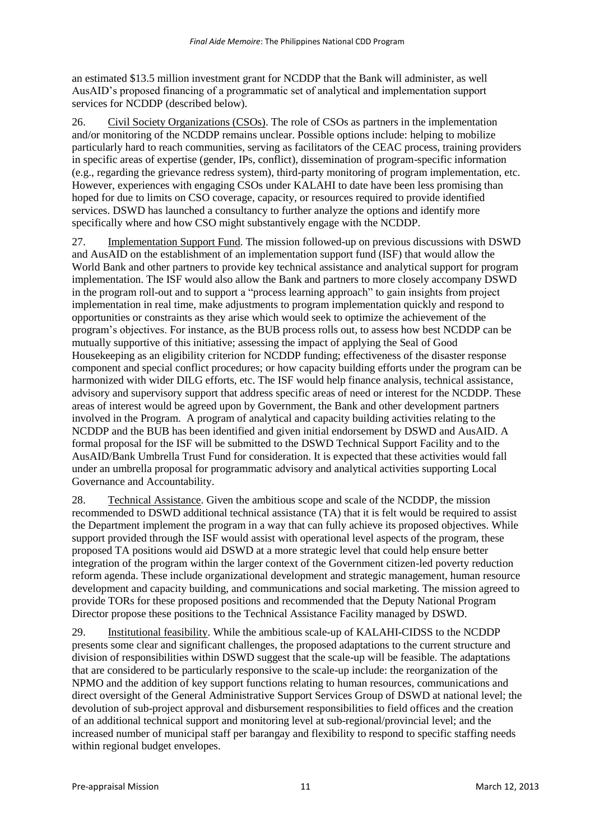an estimated \$13.5 million investment grant for NCDDP that the Bank will administer, as well AusAID's proposed financing of a programmatic set of analytical and implementation support services for NCDDP (described below).

26. Civil Society Organizations (CSOs). The role of CSOs as partners in the implementation and/or monitoring of the NCDDP remains unclear. Possible options include: helping to mobilize particularly hard to reach communities, serving as facilitators of the CEAC process, training providers in specific areas of expertise (gender, IPs, conflict), dissemination of program-specific information (e.g., regarding the grievance redress system), third-party monitoring of program implementation, etc. However, experiences with engaging CSOs under KALAHI to date have been less promising than hoped for due to limits on CSO coverage, capacity, or resources required to provide identified services. DSWD has launched a consultancy to further analyze the options and identify more specifically where and how CSO might substantively engage with the NCDDP.

27. Implementation Support Fund. The mission followed-up on previous discussions with DSWD and AusAID on the establishment of an implementation support fund (ISF) that would allow the World Bank and other partners to provide key technical assistance and analytical support for program implementation. The ISF would also allow the Bank and partners to more closely accompany DSWD in the program roll-out and to support a "process learning approach" to gain insights from project implementation in real time, make adjustments to program implementation quickly and respond to opportunities or constraints as they arise which would seek to optimize the achievement of the program's objectives. For instance, as the BUB process rolls out, to assess how best NCDDP can be mutually supportive of this initiative; assessing the impact of applying the Seal of Good Housekeeping as an eligibility criterion for NCDDP funding; effectiveness of the disaster response component and special conflict procedures; or how capacity building efforts under the program can be harmonized with wider DILG efforts, etc. The ISF would help finance analysis, technical assistance, advisory and supervisory support that address specific areas of need or interest for the NCDDP. These areas of interest would be agreed upon by Government, the Bank and other development partners involved in the Program. A program of analytical and capacity building activities relating to the NCDDP and the BUB has been identified and given initial endorsement by DSWD and AusAID. A formal proposal for the ISF will be submitted to the DSWD Technical Support Facility and to the AusAID/Bank Umbrella Trust Fund for consideration. It is expected that these activities would fall under an umbrella proposal for programmatic advisory and analytical activities supporting Local Governance and Accountability.

28. Technical Assistance. Given the ambitious scope and scale of the NCDDP, the mission recommended to DSWD additional technical assistance (TA) that it is felt would be required to assist the Department implement the program in a way that can fully achieve its proposed objectives. While support provided through the ISF would assist with operational level aspects of the program, these proposed TA positions would aid DSWD at a more strategic level that could help ensure better integration of the program within the larger context of the Government citizen-led poverty reduction reform agenda. These include organizational development and strategic management, human resource development and capacity building, and communications and social marketing. The mission agreed to provide TORs for these proposed positions and recommended that the Deputy National Program Director propose these positions to the Technical Assistance Facility managed by DSWD.

29. Institutional feasibility. While the ambitious scale-up of KALAHI-CIDSS to the NCDDP presents some clear and significant challenges, the proposed adaptations to the current structure and division of responsibilities within DSWD suggest that the scale-up will be feasible. The adaptations that are considered to be particularly responsive to the scale-up include: the reorganization of the NPMO and the addition of key support functions relating to human resources, communications and direct oversight of the General Administrative Support Services Group of DSWD at national level; the devolution of sub-project approval and disbursement responsibilities to field offices and the creation of an additional technical support and monitoring level at sub-regional/provincial level; and the increased number of municipal staff per barangay and flexibility to respond to specific staffing needs within regional budget envelopes.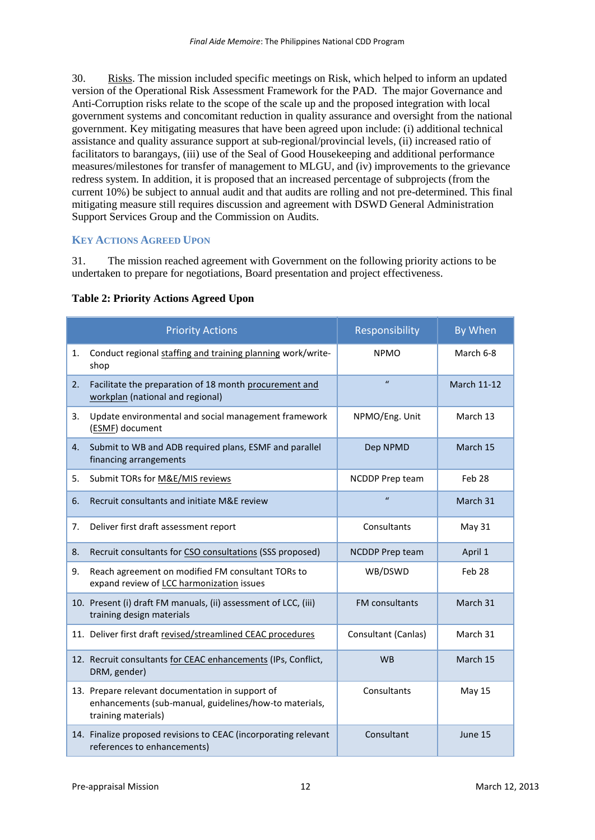30. Risks. The mission included specific meetings on Risk, which helped to inform an updated version of the Operational Risk Assessment Framework for the PAD. The major Governance and Anti-Corruption risks relate to the scope of the scale up and the proposed integration with local government systems and concomitant reduction in quality assurance and oversight from the national government. Key mitigating measures that have been agreed upon include: (i) additional technical assistance and quality assurance support at sub-regional/provincial levels, (ii) increased ratio of facilitators to barangays, (iii) use of the Seal of Good Housekeeping and additional performance measures/milestones for transfer of management to MLGU, and (iv) improvements to the grievance redress system. In addition, it is proposed that an increased percentage of subprojects (from the current 10%) be subject to annual audit and that audits are rolling and not pre-determined. This final mitigating measure still requires discussion and agreement with DSWD General Administration Support Services Group and the Commission on Audits.

# **KEY ACTIONS AGREED UPON**

31. The mission reached agreement with Government on the following priority actions to be undertaken to prepare for negotiations, Board presentation and project effectiveness.

|    | <b>Priority Actions</b>                                                                                                           | Responsibility         | By When            |  |
|----|-----------------------------------------------------------------------------------------------------------------------------------|------------------------|--------------------|--|
| 1. | Conduct regional staffing and training planning work/write-<br>shop                                                               | <b>NPMO</b>            | March 6-8          |  |
| 2. | Facilitate the preparation of 18 month procurement and<br>workplan (national and regional)                                        | $\mathbf{u}$           | <b>March 11-12</b> |  |
| 3. | Update environmental and social management framework<br>(ESMF) document                                                           | NPMO/Eng. Unit         | March 13           |  |
| 4. | Submit to WB and ADB required plans, ESMF and parallel<br>financing arrangements                                                  | Dep NPMD               | March 15           |  |
| 5. | Submit TORs for M&E/MIS reviews                                                                                                   | NCDDP Prep team        | Feb 28             |  |
| 6. | Recruit consultants and initiate M&E review                                                                                       | $\mathbf{u}$           | March 31           |  |
| 7. | Deliver first draft assessment report                                                                                             | Consultants            | May 31             |  |
| 8. | Recruit consultants for CSO consultations (SSS proposed)                                                                          | <b>NCDDP Prep team</b> | April 1            |  |
| 9. | Reach agreement on modified FM consultant TORs to<br>expand review of LCC harmonization issues                                    | WB/DSWD                | Feb 28             |  |
|    | 10. Present (i) draft FM manuals, (ii) assessment of LCC, (iii)<br>training design materials                                      | FM consultants         | March 31           |  |
|    | 11. Deliver first draft revised/streamlined CEAC procedures                                                                       | Consultant (Canlas)    | March 31           |  |
|    | 12. Recruit consultants for CEAC enhancements (IPs, Conflict,<br>DRM, gender)                                                     | <b>WB</b>              | March 15           |  |
|    | 13. Prepare relevant documentation in support of<br>enhancements (sub-manual, guidelines/how-to materials,<br>training materials) | Consultants            | <b>May 15</b>      |  |
|    | 14. Finalize proposed revisions to CEAC (incorporating relevant<br>references to enhancements)                                    | Consultant             | June 15            |  |

## **Table 2: Priority Actions Agreed Upon**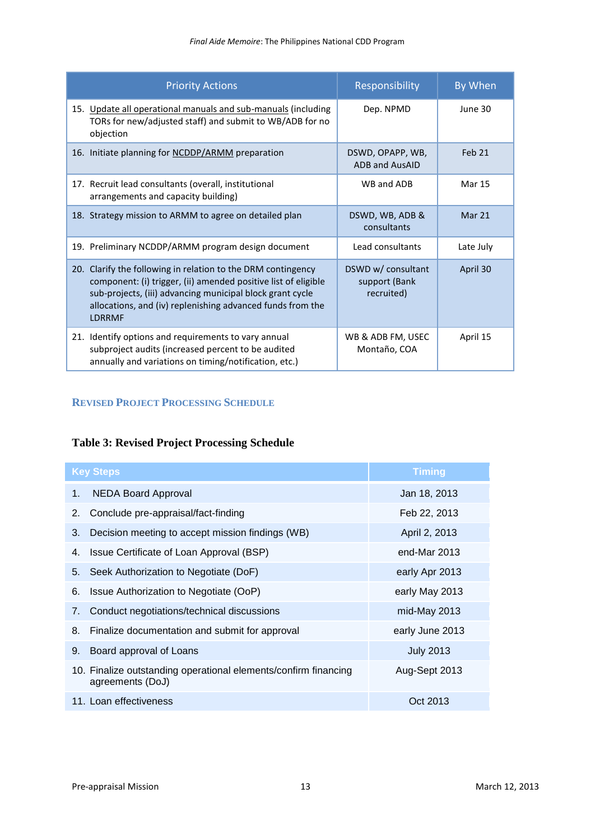| <b>Priority Actions</b>                                                                                                                                                                                                                                                    | Responsibility                                    | By When       |
|----------------------------------------------------------------------------------------------------------------------------------------------------------------------------------------------------------------------------------------------------------------------------|---------------------------------------------------|---------------|
| 15. Update all operational manuals and sub-manuals (including<br>TORs for new/adjusted staff) and submit to WB/ADB for no<br>objection                                                                                                                                     | Dep. NPMD                                         | June 30       |
| 16. Initiate planning for NCDDP/ARMM preparation                                                                                                                                                                                                                           | DSWD, OPAPP, WB,<br><b>ADB and AusAID</b>         | Feb 21        |
| 17. Recruit lead consultants (overall, institutional<br>arrangements and capacity building)                                                                                                                                                                                | WB and ADB                                        | <b>Mar 15</b> |
| 18. Strategy mission to ARMM to agree on detailed plan                                                                                                                                                                                                                     | DSWD, WB, ADB &<br>consultants                    | Mar 21        |
| 19. Preliminary NCDDP/ARMM program design document                                                                                                                                                                                                                         | Lead consultants                                  | Late July     |
| 20. Clarify the following in relation to the DRM contingency<br>component: (i) trigger, (ii) amended positive list of eligible<br>sub-projects, (iii) advancing municipal block grant cycle<br>allocations, and (iv) replenishing advanced funds from the<br><b>LDRRMF</b> | DSWD w/ consultant<br>support (Bank<br>recruited) | April 30      |
| 21. Identify options and requirements to vary annual<br>subproject audits (increased percent to be audited<br>annually and variations on timing/notification, etc.)                                                                                                        | WB & ADB FM, USEC<br>Montaño, COA                 | April 15      |

# **REVISED PROJECT PROCESSING SCHEDULE**

# **Table 3: Revised Project Processing Schedule**

|    | <b>Key Steps</b>                                                                    | <b>Timing</b>    |
|----|-------------------------------------------------------------------------------------|------------------|
| 1. | <b>NEDA Board Approval</b>                                                          | Jan 18, 2013     |
| 2. | Conclude pre-appraisal/fact-finding                                                 | Feb 22, 2013     |
| 3. | Decision meeting to accept mission findings (WB)                                    | April 2, 2013    |
| 4. | Issue Certificate of Loan Approval (BSP)                                            | end-Mar 2013     |
| 5. | Seek Authorization to Negotiate (DoF)                                               | early Apr 2013   |
| 6. | Issue Authorization to Negotiate (OoP)                                              | early May 2013   |
| 7. | Conduct negotiations/technical discussions                                          | mid-May 2013     |
| 8. | Finalize documentation and submit for approval                                      | early June 2013  |
| 9. | Board approval of Loans                                                             | <b>July 2013</b> |
|    | 10. Finalize outstanding operational elements/confirm financing<br>agreements (DoJ) | Aug-Sept 2013    |
|    | 11. Loan effectiveness                                                              | Oct 2013         |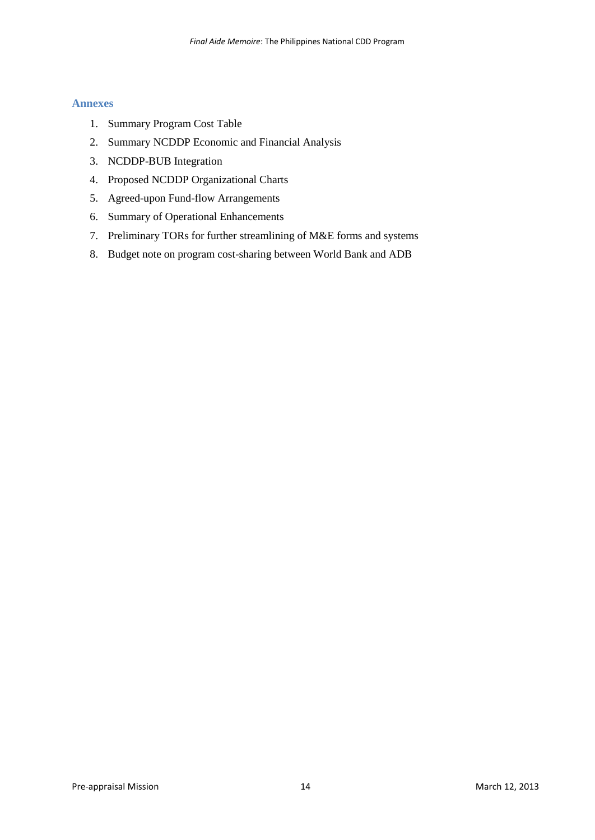## **Annexes**

- 1. Summary Program Cost Table
- 2. Summary NCDDP Economic and Financial Analysis
- 3. NCDDP-BUB Integration
- 4. Proposed NCDDP Organizational Charts
- 5. Agreed-upon Fund-flow Arrangements
- 6. Summary of Operational Enhancements
- 7. Preliminary TORs for further streamlining of M&E forms and systems
- 8. Budget note on program cost-sharing between World Bank and ADB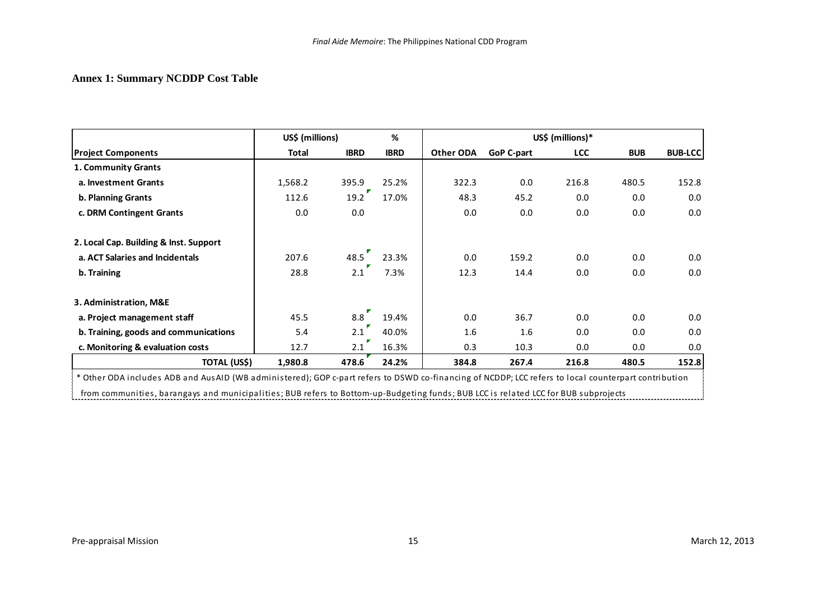# **Annex 1: Summary NCDDP Cost Table**

|                                                                                                                                                      | US\$ (millions)<br>% |             |             | US\$ (millions)* |                   |            |            |                |
|------------------------------------------------------------------------------------------------------------------------------------------------------|----------------------|-------------|-------------|------------------|-------------------|------------|------------|----------------|
| <b>Project Components</b>                                                                                                                            | Total                | <b>IBRD</b> | <b>IBRD</b> | Other ODA        | <b>GoP C-part</b> | <b>LCC</b> | <b>BUB</b> | <b>BUB-LCC</b> |
| 1. Community Grants                                                                                                                                  |                      |             |             |                  |                   |            |            |                |
| a. Investment Grants                                                                                                                                 | 1,568.2              | 395.9       | 25.2%       | 322.3            | 0.0               | 216.8      | 480.5      | 152.8          |
| b. Planning Grants                                                                                                                                   | 112.6                | 19.2        | 17.0%       | 48.3             | 45.2              | 0.0        | 0.0        | 0.0            |
| c. DRM Contingent Grants                                                                                                                             | 0.0                  | 0.0         |             | 0.0              | 0.0               | 0.0        | 0.0        | 0.0            |
| 2. Local Cap. Building & Inst. Support                                                                                                               |                      |             |             |                  |                   |            |            |                |
| a. ACT Salaries and Incidentals                                                                                                                      | 207.6                | 48.5        | 23.3%       | 0.0              | 159.2             | 0.0        | 0.0        | 0.0            |
| b. Training                                                                                                                                          | 28.8                 | 2.1         | 7.3%        | 12.3             | 14.4              | 0.0        | 0.0        | 0.0            |
| 3. Administration, M&E                                                                                                                               |                      |             |             |                  |                   |            |            |                |
| a. Project management staff                                                                                                                          | 45.5                 | 8.8         | 19.4%       | 0.0              | 36.7              | 0.0        | 0.0        | 0.0            |
| b. Training, goods and communications                                                                                                                | 5.4                  | 2.1         | 40.0%       | 1.6              | 1.6               | 0.0        | 0.0        | 0.0            |
| c. Monitoring & evaluation costs                                                                                                                     | 12.7                 | 2.1         | 16.3%       | 0.3              | 10.3              | 0.0        | 0.0        | 0.0            |
| TOTAL (US\$)                                                                                                                                         | 1,980.8              | 478.6       | 24.2%       | 384.8            | 267.4             | 216.8      | 480.5      | 152.8          |
| * Other ODA includes ADB and AusAID (WB administered); GOP c-part refers to DSWD co-financing of NCDDP; LCC refers to local counterpart contribution |                      |             |             |                  |                   |            |            |                |
| from communities, barangays and municipalities; BUB refers to Bottom-up-Budgeting funds; BUB LCC is related LCC for BUB subprojects                  |                      |             |             |                  |                   |            |            |                |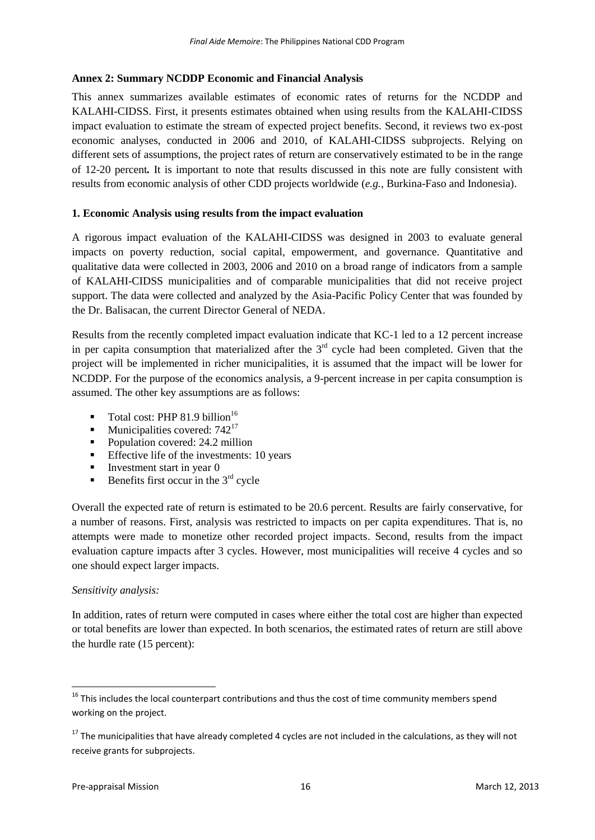# **Annex 2: Summary NCDDP Economic and Financial Analysis**

This annex summarizes available estimates of economic rates of returns for the NCDDP and KALAHI-CIDSS. First, it presents estimates obtained when using results from the KALAHI-CIDSS impact evaluation to estimate the stream of expected project benefits. Second, it reviews two ex-post economic analyses, conducted in 2006 and 2010, of KALAHI-CIDSS subprojects. Relying on different sets of assumptions, the project rates of return are conservatively estimated to be in the range of 12-20 percent*.* It is important to note that results discussed in this note are fully consistent with results from economic analysis of other CDD projects worldwide (*e.g.,* Burkina-Faso and Indonesia).

# **1. Economic Analysis using results from the impact evaluation**

A rigorous impact evaluation of the KALAHI-CIDSS was designed in 2003 to evaluate general impacts on poverty reduction, social capital, empowerment, and governance. Quantitative and qualitative data were collected in 2003, 2006 and 2010 on a broad range of indicators from a sample of KALAHI-CIDSS municipalities and of comparable municipalities that did not receive project support. The data were collected and analyzed by the Asia-Pacific Policy Center that was founded by the Dr. Balisacan, the current Director General of NEDA.

Results from the recently completed impact evaluation indicate that KC-1 led to a 12 percent increase in per capita consumption that materialized after the  $3<sup>rd</sup>$  cycle had been completed. Given that the project will be implemented in richer municipalities, it is assumed that the impact will be lower for NCDDP. For the purpose of the economics analysis, a 9-percent increase in per capita consumption is assumed. The other key assumptions are as follows:

- Total cost: PHP 81.9 billion<sup>16</sup>
- $\blacksquare$  Municipalities covered: 742<sup>17</sup>
- Population covered: 24.2 million
- **Effective life of the investments: 10 years**
- Investment start in year  $\theta$
- Benefits first occur in the  $3<sup>rd</sup>$  cycle

Overall the expected rate of return is estimated to be 20.6 percent. Results are fairly conservative, for a number of reasons. First, analysis was restricted to impacts on per capita expenditures. That is, no attempts were made to monetize other recorded project impacts. Second, results from the impact evaluation capture impacts after 3 cycles. However, most municipalities will receive 4 cycles and so one should expect larger impacts.

#### *Sensitivity analysis:*

**.** 

In addition, rates of return were computed in cases where either the total cost are higher than expected or total benefits are lower than expected. In both scenarios, the estimated rates of return are still above the hurdle rate (15 percent):

 $16$  This includes the local counterpart contributions and thus the cost of time community members spend working on the project.

 $17$  The municipalities that have already completed 4 cycles are not included in the calculations, as they will not receive grants for subprojects.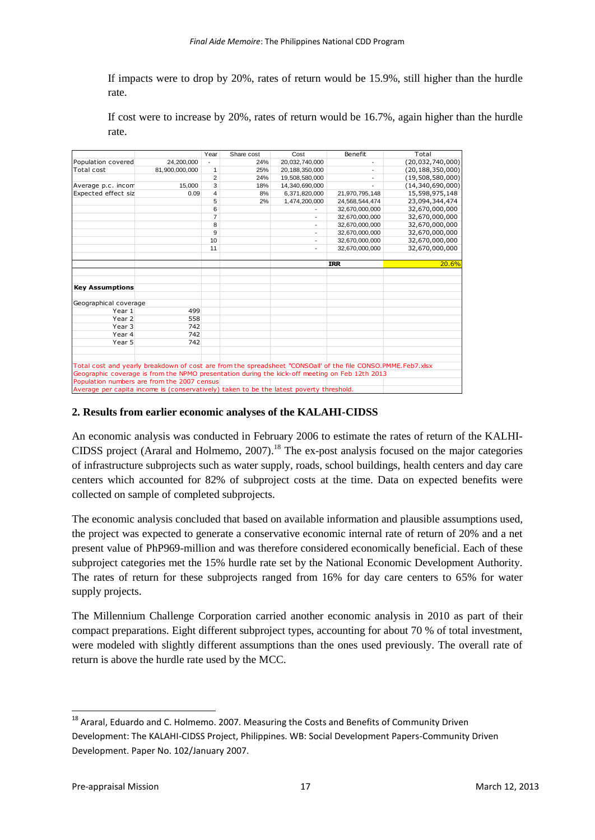If impacts were to drop by 20%, rates of return would be 15.9%, still higher than the hurdle rate.

If cost were to increase by 20%, rates of return would be 16.7%, again higher than the hurdle rate.

|                                             |                                                                                                              | Year           | Share cost | Cost           | Benefit                  | Total               |
|---------------------------------------------|--------------------------------------------------------------------------------------------------------------|----------------|------------|----------------|--------------------------|---------------------|
| Population covered                          | 24,200,000                                                                                                   |                | 24%        | 20,032,740,000 | $\overline{\phantom{a}}$ | (20, 032, 740, 000) |
| Total cost                                  | 81,900,000,000                                                                                               | 1              | 25%        | 20,188,350,000 |                          | (20, 188, 350, 000) |
|                                             |                                                                                                              | $\overline{2}$ | 24%        | 19,508,580,000 |                          | (19,508,580,000)    |
| Average p.c. incom                          | 15,000                                                                                                       | 3              | 18%        | 14,340,690,000 |                          | (14, 340, 690, 000) |
| Expected effect siz                         | 0.09                                                                                                         | 4              | 8%         | 6.371.820.000  | 21,970,795,148           | 15,598,975,148      |
|                                             |                                                                                                              | 5              | 2%         | 1,474,200,000  | 24,568,544,474           | 23,094,344,474      |
|                                             |                                                                                                              | 6              |            |                | 32,670,000,000           | 32,670,000,000      |
|                                             |                                                                                                              | 7              |            |                | 32,670,000,000           | 32,670,000,000      |
|                                             |                                                                                                              | 8              |            |                | 32,670,000,000           | 32,670,000,000      |
|                                             |                                                                                                              | 9              |            |                | 32,670,000,000           | 32,670,000,000      |
|                                             |                                                                                                              | 10             |            |                | 32,670,000,000           | 32,670,000,000      |
|                                             |                                                                                                              | 11             |            |                | 32.670.000.000           | 32,670,000,000      |
|                                             |                                                                                                              |                |            |                |                          |                     |
|                                             |                                                                                                              |                |            |                | <b>IRR</b>               | 20.6%               |
|                                             |                                                                                                              |                |            |                |                          |                     |
|                                             |                                                                                                              |                |            |                |                          |                     |
| <b>Key Assumptions</b>                      |                                                                                                              |                |            |                |                          |                     |
| Geographical coverage                       |                                                                                                              |                |            |                |                          |                     |
| Year 1                                      | 499                                                                                                          |                |            |                |                          |                     |
| Year 2                                      | 558                                                                                                          |                |            |                |                          |                     |
| Year 3                                      | 742                                                                                                          |                |            |                |                          |                     |
| Year 4                                      | 742                                                                                                          |                |            |                |                          |                     |
| Year 5                                      | 742                                                                                                          |                |            |                |                          |                     |
|                                             |                                                                                                              |                |            |                |                          |                     |
|                                             |                                                                                                              |                |            |                |                          |                     |
|                                             | Total cost and yearly breakdown of cost are from the spreadsheet "CONSOall' of the file CONSO.PMME.Feb7.xlsx |                |            |                |                          |                     |
|                                             | Geographic coverage is from the NPMO presentation during the kick-off meeting on Feb 12th 2013               |                |            |                |                          |                     |
| Population numbers are from the 2007 census |                                                                                                              |                |            |                |                          |                     |
|                                             | Average per capita income is (conservatively) taken to be the latest poverty threshold.                      |                |            |                |                          |                     |

## **2. Results from earlier economic analyses of the KALAHI-CIDSS**

An economic analysis was conducted in February 2006 to estimate the rates of return of the KALHI-CIDSS project (Araral and Holmemo, 2007). <sup>18</sup> The ex-post analysis focused on the major categories of infrastructure subprojects such as water supply, roads, school buildings, health centers and day care centers which accounted for 82% of subproject costs at the time. Data on expected benefits were collected on sample of completed subprojects.

The economic analysis concluded that based on available information and plausible assumptions used, the project was expected to generate a conservative economic internal rate of return of 20% and a net present value of PhP969-million and was therefore considered economically beneficial. Each of these subproject categories met the 15% hurdle rate set by the National Economic Development Authority. The rates of return for these subprojects ranged from 16% for day care centers to 65% for water supply projects.

The Millennium Challenge Corporation carried another economic analysis in 2010 as part of their compact preparations. Eight different subproject types, accounting for about 70 % of total investment, were modeled with slightly different assumptions than the ones used previously. The overall rate of return is above the hurdle rate used by the MCC.

**.** 

<sup>&</sup>lt;sup>18</sup> Araral, Eduardo and C. Holmemo. 2007. Measuring the Costs and Benefits of Community Driven Development: The KALAHI-CIDSS Project, Philippines. WB: Social Development Papers-Community Driven Development. Paper No. 102/January 2007.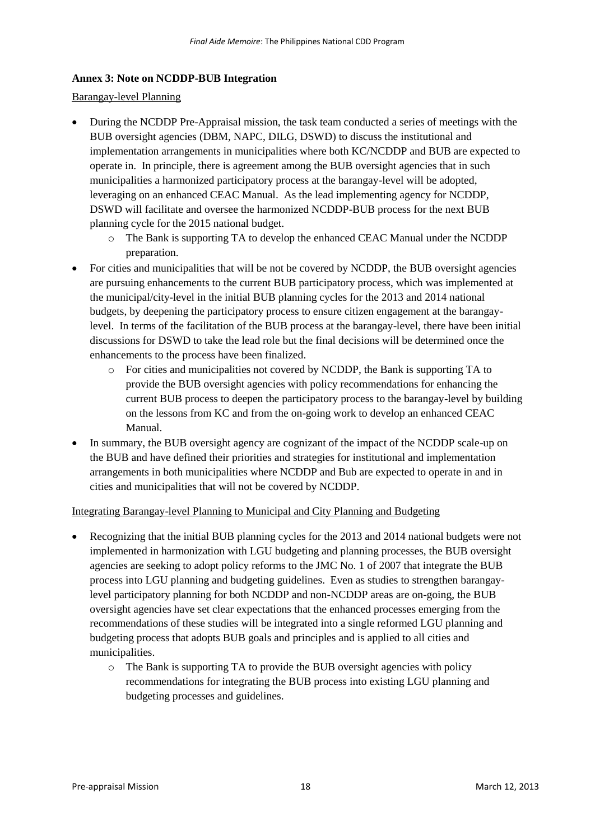# **Annex 3: Note on NCDDP-BUB Integration**

## Barangay-level Planning

- During the NCDDP Pre-Appraisal mission, the task team conducted a series of meetings with the BUB oversight agencies (DBM, NAPC, DILG, DSWD) to discuss the institutional and implementation arrangements in municipalities where both KC/NCDDP and BUB are expected to operate in. In principle, there is agreement among the BUB oversight agencies that in such municipalities a harmonized participatory process at the barangay-level will be adopted, leveraging on an enhanced CEAC Manual. As the lead implementing agency for NCDDP, DSWD will facilitate and oversee the harmonized NCDDP-BUB process for the next BUB planning cycle for the 2015 national budget.
	- o The Bank is supporting TA to develop the enhanced CEAC Manual under the NCDDP preparation.
- For cities and municipalities that will be not be covered by NCDDP, the BUB oversight agencies are pursuing enhancements to the current BUB participatory process, which was implemented at the municipal/city-level in the initial BUB planning cycles for the 2013 and 2014 national budgets, by deepening the participatory process to ensure citizen engagement at the barangaylevel. In terms of the facilitation of the BUB process at the barangay-level, there have been initial discussions for DSWD to take the lead role but the final decisions will be determined once the enhancements to the process have been finalized.
	- o For cities and municipalities not covered by NCDDP, the Bank is supporting TA to provide the BUB oversight agencies with policy recommendations for enhancing the current BUB process to deepen the participatory process to the barangay-level by building on the lessons from KC and from the on-going work to develop an enhanced CEAC Manual.
- In summary, the BUB oversight agency are cognizant of the impact of the NCDDP scale-up on the BUB and have defined their priorities and strategies for institutional and implementation arrangements in both municipalities where NCDDP and Bub are expected to operate in and in cities and municipalities that will not be covered by NCDDP.

#### Integrating Barangay-level Planning to Municipal and City Planning and Budgeting

- Recognizing that the initial BUB planning cycles for the 2013 and 2014 national budgets were not implemented in harmonization with LGU budgeting and planning processes, the BUB oversight agencies are seeking to adopt policy reforms to the JMC No. 1 of 2007 that integrate the BUB process into LGU planning and budgeting guidelines. Even as studies to strengthen barangaylevel participatory planning for both NCDDP and non-NCDDP areas are on-going, the BUB oversight agencies have set clear expectations that the enhanced processes emerging from the recommendations of these studies will be integrated into a single reformed LGU planning and budgeting process that adopts BUB goals and principles and is applied to all cities and municipalities.
	- o The Bank is supporting TA to provide the BUB oversight agencies with policy recommendations for integrating the BUB process into existing LGU planning and budgeting processes and guidelines.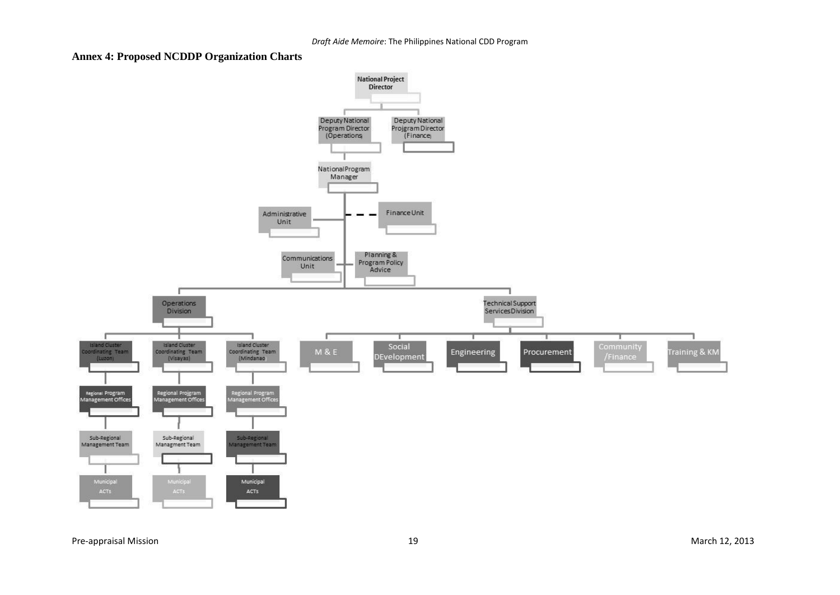## **Annex 4: Proposed NCDDP Organization Charts**



Pre-appraisal Mission March 12, 2013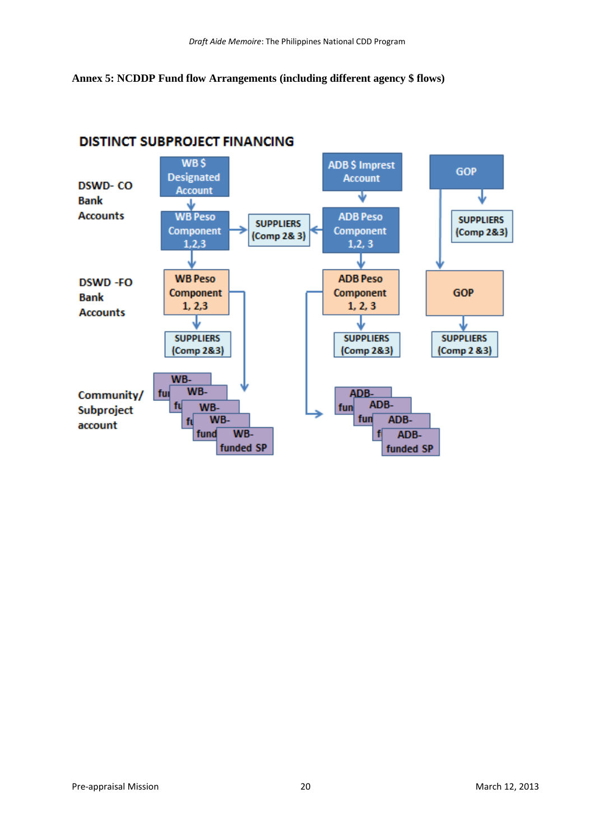**Annex 5: NCDDP Fund flow Arrangements (including different agency \$ flows)**



# **DISTINCT SUBPROJECT FINANCING**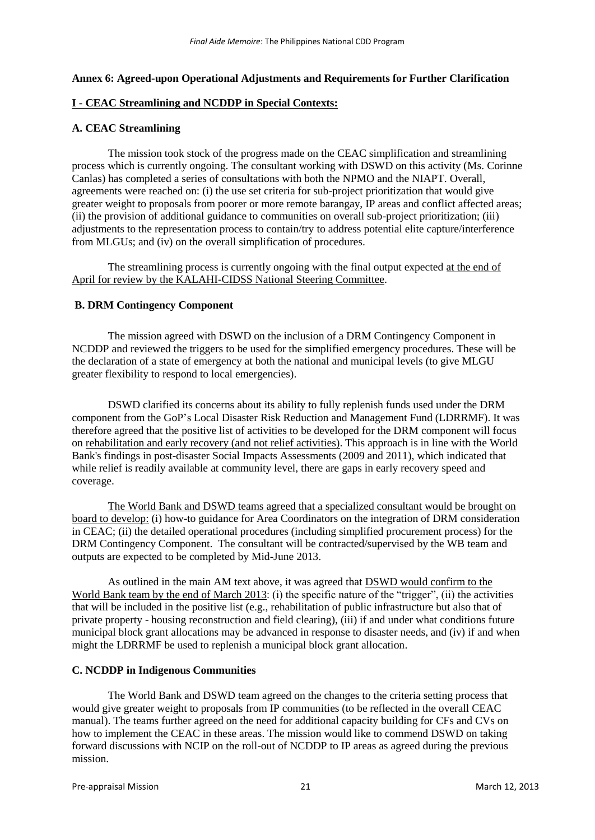#### **Annex 6: Agreed-upon Operational Adjustments and Requirements for Further Clarification**

#### **I - CEAC Streamlining and NCDDP in Special Contexts:**

#### **A. CEAC Streamlining**

The mission took stock of the progress made on the CEAC simplification and streamlining process which is currently ongoing. The consultant working with DSWD on this activity (Ms. Corinne Canlas) has completed a series of consultations with both the NPMO and the NIAPT. Overall, agreements were reached on: (i) the use set criteria for sub-project prioritization that would give greater weight to proposals from poorer or more remote barangay, IP areas and conflict affected areas; (ii) the provision of additional guidance to communities on overall sub-project prioritization; (iii) adjustments to the representation process to contain/try to address potential elite capture/interference from MLGUs; and (iv) on the overall simplification of procedures.

The streamlining process is currently ongoing with the final output expected at the end of April for review by the KALAHI-CIDSS National Steering Committee.

#### **B. DRM Contingency Component**

The mission agreed with DSWD on the inclusion of a DRM Contingency Component in NCDDP and reviewed the triggers to be used for the simplified emergency procedures. These will be the declaration of a state of emergency at both the national and municipal levels (to give MLGU greater flexibility to respond to local emergencies).

DSWD clarified its concerns about its ability to fully replenish funds used under the DRM component from the GoP's Local Disaster Risk Reduction and Management Fund (LDRRMF). It was therefore agreed that the positive list of activities to be developed for the DRM component will focus on rehabilitation and early recovery (and not relief activities). This approach is in line with the World Bank's findings in post-disaster Social Impacts Assessments (2009 and 2011), which indicated that while relief is readily available at community level, there are gaps in early recovery speed and coverage.

The World Bank and DSWD teams agreed that a specialized consultant would be brought on board to develop: (i) how-to guidance for Area Coordinators on the integration of DRM consideration in CEAC; (ii) the detailed operational procedures (including simplified procurement process) for the DRM Contingency Component. The consultant will be contracted/supervised by the WB team and outputs are expected to be completed by Mid-June 2013.

As outlined in the main AM text above, it was agreed that DSWD would confirm to the World Bank team by the end of March 2013: (i) the specific nature of the "trigger", (ii) the activities that will be included in the positive list (e.g., rehabilitation of public infrastructure but also that of private property - housing reconstruction and field clearing), (iii) if and under what conditions future municipal block grant allocations may be advanced in response to disaster needs, and (iv) if and when might the LDRRMF be used to replenish a municipal block grant allocation.

#### **C. NCDDP in Indigenous Communities**

The World Bank and DSWD team agreed on the changes to the criteria setting process that would give greater weight to proposals from IP communities (to be reflected in the overall CEAC manual). The teams further agreed on the need for additional capacity building for CFs and CVs on how to implement the CEAC in these areas. The mission would like to commend DSWD on taking forward discussions with NCIP on the roll-out of NCDDP to IP areas as agreed during the previous mission.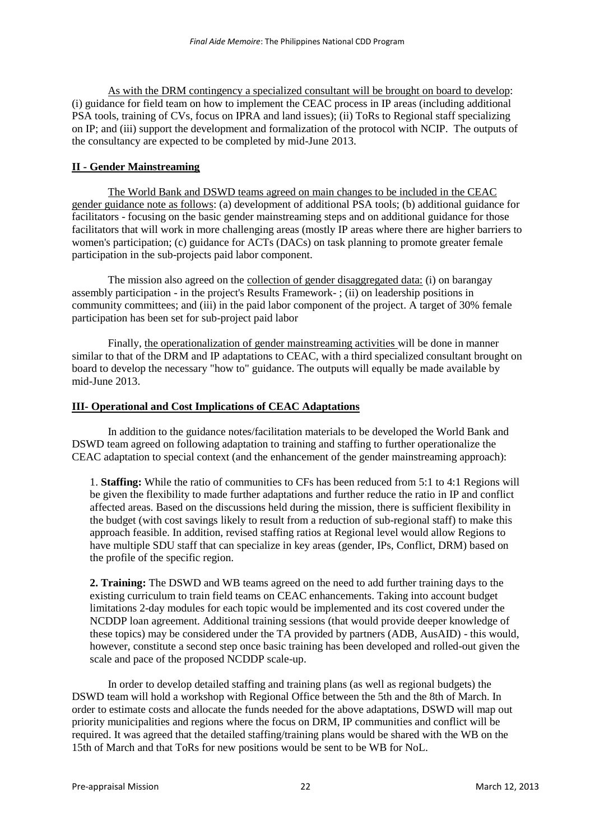As with the DRM contingency a specialized consultant will be brought on board to develop: (i) guidance for field team on how to implement the CEAC process in IP areas (including additional PSA tools, training of CVs, focus on IPRA and land issues); (ii) ToRs to Regional staff specializing on IP; and (iii) support the development and formalization of the protocol with NCIP. The outputs of the consultancy are expected to be completed by mid-June 2013.

## **II - Gender Mainstreaming**

The World Bank and DSWD teams agreed on main changes to be included in the CEAC gender guidance note as follows: (a) development of additional PSA tools; (b) additional guidance for facilitators - focusing on the basic gender mainstreaming steps and on additional guidance for those facilitators that will work in more challenging areas (mostly IP areas where there are higher barriers to women's participation; (c) guidance for ACTs (DACs) on task planning to promote greater female participation in the sub-projects paid labor component.

The mission also agreed on the collection of gender disaggregated data: (i) on barangay assembly participation - in the project's Results Framework- ; (ii) on leadership positions in community committees; and (iii) in the paid labor component of the project. A target of 30% female participation has been set for sub-project paid labor

Finally, the operationalization of gender mainstreaming activities will be done in manner similar to that of the DRM and IP adaptations to CEAC, with a third specialized consultant brought on board to develop the necessary "how to" guidance. The outputs will equally be made available by mid-June 2013.

#### **III- Operational and Cost Implications of CEAC Adaptations**

In addition to the guidance notes/facilitation materials to be developed the World Bank and DSWD team agreed on following adaptation to training and staffing to further operationalize the CEAC adaptation to special context (and the enhancement of the gender mainstreaming approach):

1. **Staffing:** While the ratio of communities to CFs has been reduced from 5:1 to 4:1 Regions will be given the flexibility to made further adaptations and further reduce the ratio in IP and conflict affected areas. Based on the discussions held during the mission, there is sufficient flexibility in the budget (with cost savings likely to result from a reduction of sub-regional staff) to make this approach feasible. In addition, revised staffing ratios at Regional level would allow Regions to have multiple SDU staff that can specialize in key areas (gender, IPs, Conflict, DRM) based on the profile of the specific region.

**2. Training:** The DSWD and WB teams agreed on the need to add further training days to the existing curriculum to train field teams on CEAC enhancements. Taking into account budget limitations 2-day modules for each topic would be implemented and its cost covered under the NCDDP loan agreement. Additional training sessions (that would provide deeper knowledge of these topics) may be considered under the TA provided by partners (ADB, AusAID) - this would, however, constitute a second step once basic training has been developed and rolled-out given the scale and pace of the proposed NCDDP scale-up.

In order to develop detailed staffing and training plans (as well as regional budgets) the DSWD team will hold a workshop with Regional Office between the 5th and the 8th of March. In order to estimate costs and allocate the funds needed for the above adaptations, DSWD will map out priority municipalities and regions where the focus on DRM, IP communities and conflict will be required. It was agreed that the detailed staffing/training plans would be shared with the WB on the 15th of March and that ToRs for new positions would be sent to be WB for NoL.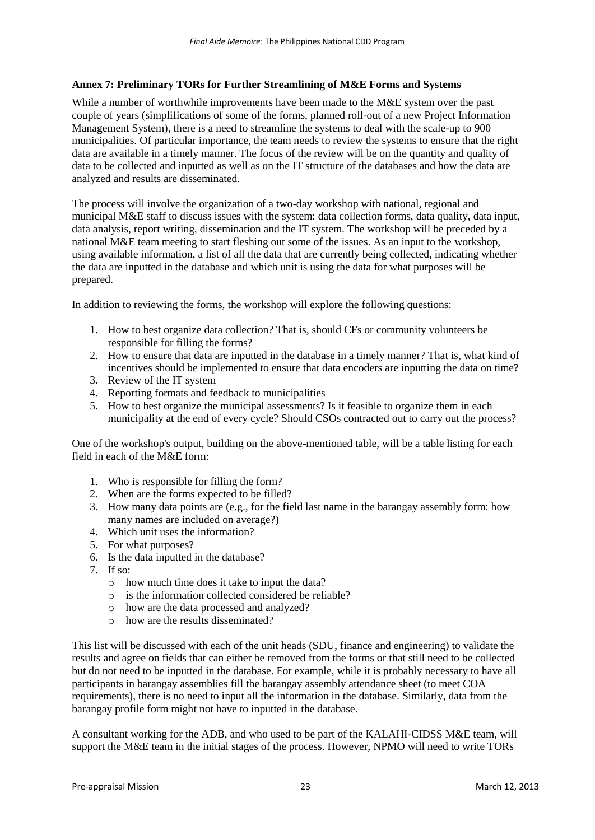# **Annex 7: Preliminary TORs for Further Streamlining of M&E Forms and Systems**

While a number of worthwhile improvements have been made to the M&E system over the past couple of years (simplifications of some of the forms, planned roll-out of a new Project Information Management System), there is a need to streamline the systems to deal with the scale-up to 900 municipalities. Of particular importance, the team needs to review the systems to ensure that the right data are available in a timely manner. The focus of the review will be on the quantity and quality of data to be collected and inputted as well as on the IT structure of the databases and how the data are analyzed and results are disseminated.

The process will involve the organization of a two-day workshop with national, regional and municipal M&E staff to discuss issues with the system: data collection forms, data quality, data input, data analysis, report writing, dissemination and the IT system. The workshop will be preceded by a national M&E team meeting to start fleshing out some of the issues. As an input to the workshop, using available information, a list of all the data that are currently being collected, indicating whether the data are inputted in the database and which unit is using the data for what purposes will be prepared.

In addition to reviewing the forms, the workshop will explore the following questions:

- 1. How to best organize data collection? That is, should CFs or community volunteers be responsible for filling the forms?
- 2. How to ensure that data are inputted in the database in a timely manner? That is, what kind of incentives should be implemented to ensure that data encoders are inputting the data on time?
- 3. Review of the IT system
- 4. Reporting formats and feedback to municipalities
- 5. How to best organize the municipal assessments? Is it feasible to organize them in each municipality at the end of every cycle? Should CSOs contracted out to carry out the process?

One of the workshop's output, building on the above-mentioned table, will be a table listing for each field in each of the M&E form:

- 1. Who is responsible for filling the form?
- 2. When are the forms expected to be filled?
- 3. How many data points are (e.g., for the field last name in the barangay assembly form: how many names are included on average?)
- 4. Which unit uses the information?
- 5. For what purposes?
- 6. Is the data inputted in the database?
- 7. If so:
	- o how much time does it take to input the data?
	- o is the information collected considered be reliable?
	- o how are the data processed and analyzed?
	- o how are the results disseminated?

This list will be discussed with each of the unit heads (SDU, finance and engineering) to validate the results and agree on fields that can either be removed from the forms or that still need to be collected but do not need to be inputted in the database. For example, while it is probably necessary to have all participants in barangay assemblies fill the barangay assembly attendance sheet (to meet COA requirements), there is no need to input all the information in the database. Similarly, data from the barangay profile form might not have to inputted in the database.

A consultant working for the ADB, and who used to be part of the KALAHI-CIDSS M&E team, will support the M&E team in the initial stages of the process. However, NPMO will need to write TORs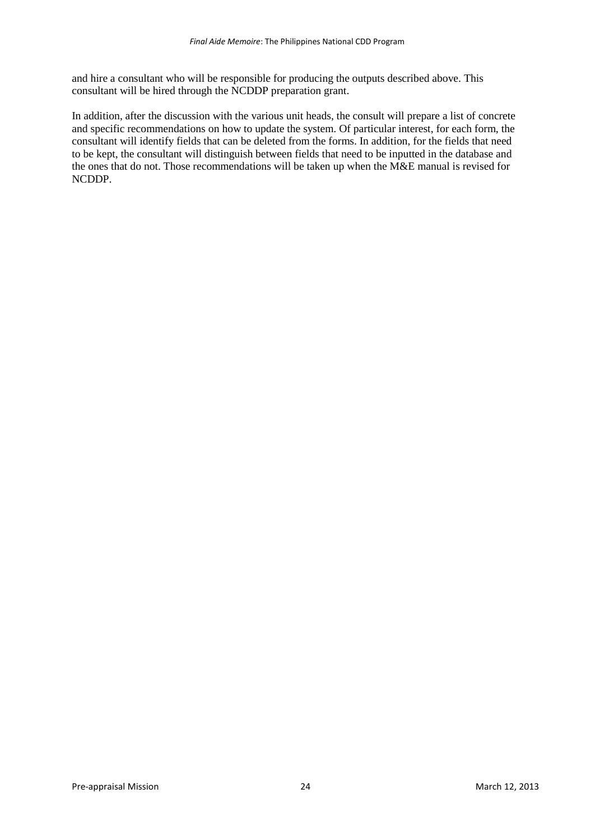and hire a consultant who will be responsible for producing the outputs described above. This consultant will be hired through the NCDDP preparation grant.

In addition, after the discussion with the various unit heads, the consult will prepare a list of concrete and specific recommendations on how to update the system. Of particular interest, for each form, the consultant will identify fields that can be deleted from the forms. In addition, for the fields that need to be kept, the consultant will distinguish between fields that need to be inputted in the database and the ones that do not. Those recommendations will be taken up when the M&E manual is revised for NCDDP.